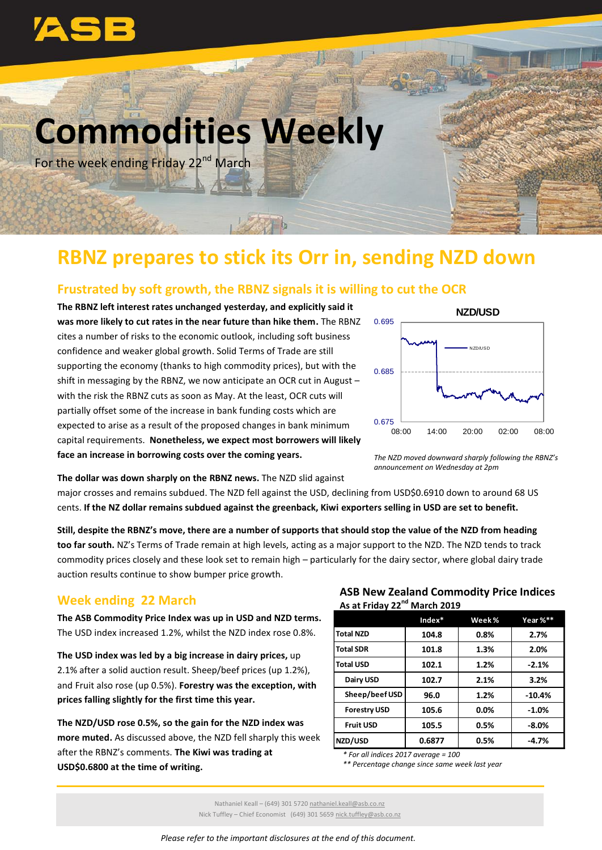

# **Commodities Weekly**

For the week ending Friday 22<sup>nd</sup> March

# **RBNZ prepares to stick its Orr in, sending NZD down**

#### **Frustrated by soft growth, the RBNZ signals it is willing to cut the OCR**

1201

**The RBNZ left interest rates unchanged yesterday, and explicitly said it was more likely to cut rates in the near future than hike them.** The RBNZ cites a number of risks to the economic outlook, including soft business confidence and weaker global growth. Solid Terms of Trade are still supporting the economy (thanks to high commodity prices), but with the shift in messaging by the RBNZ, we now anticipate an OCR cut in August – with the risk the RBNZ cuts as soon as May. At the least, OCR cuts will partially offset some of the increase in bank funding costs which are expected to arise as a result of the proposed changes in bank minimum capital requirements. **Nonetheless, we expect most borrowers will likely face an increase in borrowing costs over the coming years.**



*The NZD moved downward sharply following the RBNZ's announcement on Wednesday at 2pm*

**The dollar was down sharply on the RBNZ news.** The NZD slid against

major crosses and remains subdued. The NZD fell against the USD, declining from USD\$0.6910 down to around 68 US cents. **If the NZ dollar remains subdued against the greenback, Kiwi exporters selling in USD are set to benefit.** 

**Still, despite the RBNZ's move, there are a number of supports that should stop the value of the NZD from heading too far south.** NZ's Terms of Trade remain at high levels, acting as a major support to the NZD. The NZD tends to track commodity prices closely and these look set to remain high – particularly for the dairy sector, where global dairy trade auction results continue to show bumper price growth.

### **Week ending 22 March**

**The ASB Commodity Price Index was up in USD and NZD terms.** The USD index increased 1.2%, whilst the NZD index rose 0.8%.

**The USD index was led by a big increase in dairy prices,** up 2.1% after a solid auction result. Sheep/beef prices (up 1.2%), and Fruit also rose (up 0.5%). **Forestry was the exception, with prices falling slightly for the first time this year.**

**The NZD/USD rose 0.5%, so the gain for the NZD index was more muted.** As discussed above, the NZD fell sharply this week after the RBNZ's comments. **The Kiwi was trading at USD\$0.6800 at the time of writing.**

#### **ASB New Zealand Commodity Price Indices As at Friday 22nd March 2019**

|                     | Index* | Week% | Year %** |
|---------------------|--------|-------|----------|
| <b>Total NZD</b>    | 104.8  | 0.8%  | 2.7%     |
| <b>Total SDR</b>    | 101.8  | 1.3%  | 2.0%     |
| <b>Total USD</b>    | 102.1  | 1.2%  | $-2.1%$  |
| Dairy USD           | 102.7  | 2.1%  | 3.2%     |
| Sheep/beef USD      | 96.0   | 1.2%  | $-10.4%$ |
| <b>Forestry USD</b> | 105.6  | 0.0%  | $-1.0%$  |
| <b>Fruit USD</b>    | 105.5  | 0.5%  | $-8.0%$  |
| NZD/USD             | 0.6877 | 0.5%  | $-4.7%$  |

*\* For all indices 2017 average = 100*

*\*\* Percentage change since same week last year*

*Please refer to the important disclosures at the end of this document.*

Nathaniel Keall – (649) 301 5720 nathaniel.keall@asb.co.nz Nick Tuffley – Chief Economist (649) 301 5659 nick.tuffley@asb.co.nz